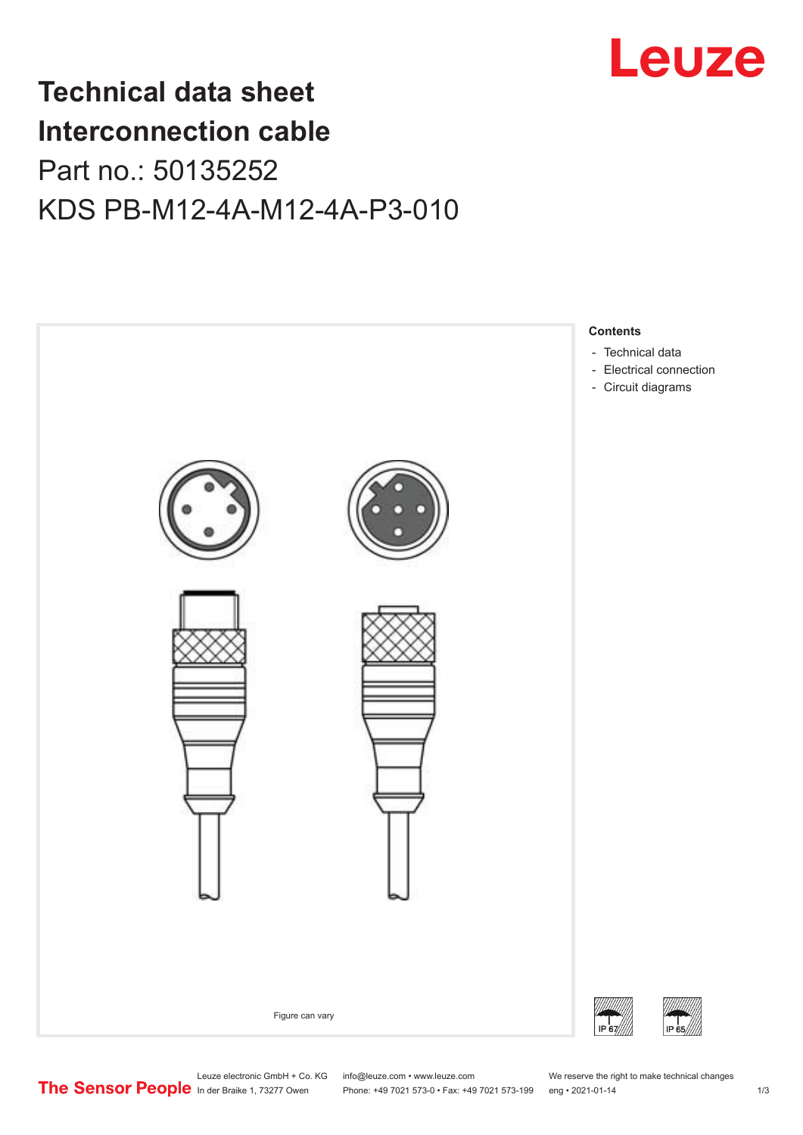

## **Technical data sheet Interconnection cable** Part no.: 50135252 KDS PB-M12-4A-M12-4A-P3-010



Leuze electronic GmbH + Co. KG info@leuze.com • www.leuze.com We reserve the right to make technical changes<br> **The Sensor People** in der Braike 1, 73277 Owen Phone: +49 7021 573-0 • Fax: +49 7021 573-199 eng • 2021-01-14

Phone: +49 7021 573-0 • Fax: +49 7021 573-199 eng • 2021-01-14 1 73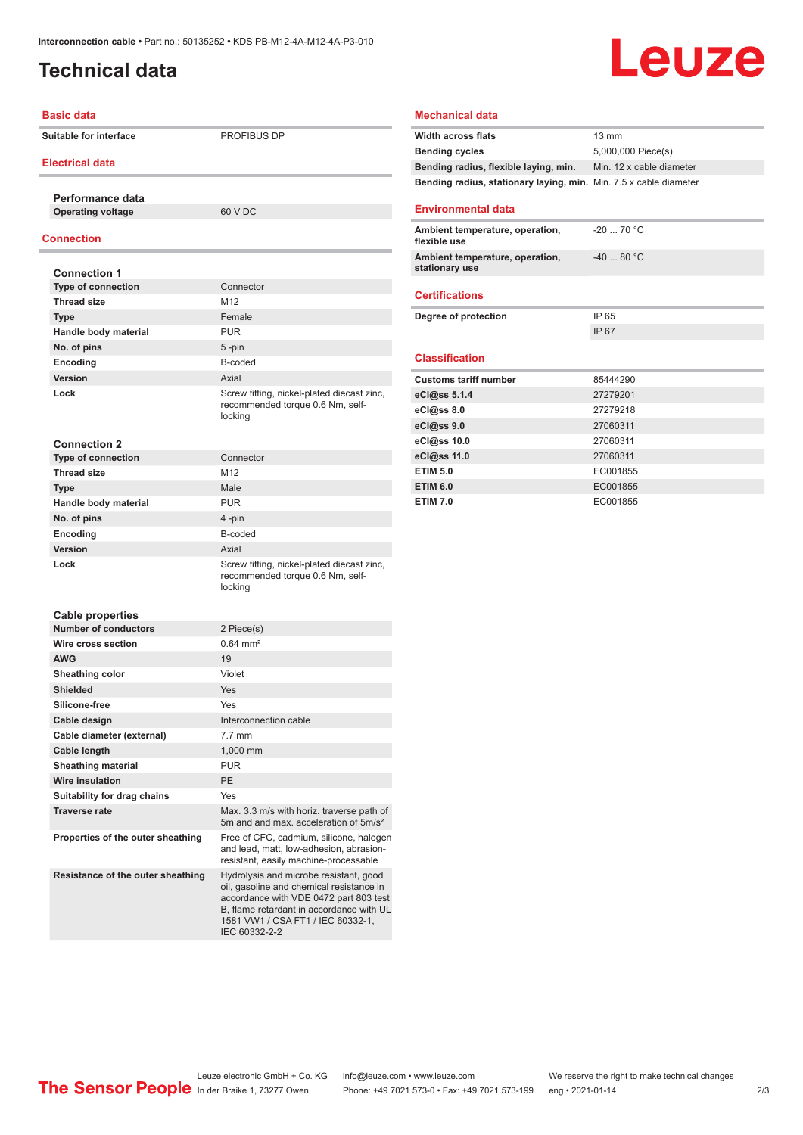## <span id="page-1-0"></span>**Technical data**

# Leuze

#### **Basic data**

**Suitable for interface** PROFIBUS DP

#### **Electrical data**

**Performance data Operating voltage** 60 V DC

#### **Connection**

| <b>Connection 1</b>         |                                                                                           |
|-----------------------------|-------------------------------------------------------------------------------------------|
| <b>Type of connection</b>   | Connector                                                                                 |
| Thread size                 | M <sub>12</sub>                                                                           |
| <b>Type</b>                 | Female                                                                                    |
| Handle body material        | <b>PUR</b>                                                                                |
| No. of pins                 | 5-pin                                                                                     |
| Encoding                    | B-coded                                                                                   |
| Version                     | Axial                                                                                     |
| Lock                        | Screw fitting, nickel-plated diecast zinc,<br>recommended torque 0.6 Nm, self-<br>locking |
| <b>Connection 2</b>         |                                                                                           |
| <b>Type of connection</b>   | Connector                                                                                 |
| <b>Thread size</b>          | M <sub>12</sub>                                                                           |
| <b>Type</b>                 | Male                                                                                      |
| Handle body material        | <b>PUR</b>                                                                                |
| No. of pins                 | 4-pin                                                                                     |
| Encoding                    | B-coded                                                                                   |
| Version                     | Axial                                                                                     |
| Lock                        | Screw fitting, nickel-plated diecast zinc,<br>recommended torque 0.6 Nm, self-<br>locking |
| <b>Cable properties</b>     |                                                                                           |
| <b>Number of conductors</b> | 2 Piece(s)                                                                                |
| Wire cross section          | $0.64 \, \text{mm}^2$                                                                     |
| <b>AWG</b>                  | 19                                                                                        |
| Sheathing color             | Violet                                                                                    |
| <b>Shielded</b>             | Yes                                                                                       |

## **Mechanical data**

| <b>Width across flats</b>                                                | 13 mm                    |
|--------------------------------------------------------------------------|--------------------------|
| <b>Bending cycles</b>                                                    | 5,000,000 Piece(s)       |
| Bending radius, flexible laying, min.                                    | Min. 12 x cable diameter |
| <b>Bending radius, stationary laying, min.</b> Min. 7.5 x cable diameter |                          |
| <b>Environmental data</b>                                                |                          |
| Ambient temperature, operation,<br>flexible use                          | $-20$ 70 °C              |
| Ambient temperature, operation,<br>stationary use                        | $-4080 °C$               |
| <b>Certifications</b>                                                    |                          |
| Degree of protection                                                     | IP 65                    |
|                                                                          | IP 67                    |
| <b>Classification</b>                                                    |                          |
| <b>Customs tariff number</b>                                             | 85444290                 |
|                                                                          | 27279201                 |
| eCl@ss 5.1.4                                                             |                          |
| eCl@ss 8.0                                                               | 27279218                 |
| eCl@ss 9.0                                                               | 27060311                 |
| eCl@ss 10.0                                                              | 27060311                 |
| eCl@ss 11.0                                                              | 27060311                 |
| <b>ETIM 5.0</b>                                                          | EC001855                 |
|                                                                          |                          |
| <b>ETIM 6.0</b>                                                          | EC001855                 |

| oawio proportioo                  |                                                                                                                                                                                                                                |
|-----------------------------------|--------------------------------------------------------------------------------------------------------------------------------------------------------------------------------------------------------------------------------|
| <b>Number of conductors</b>       | 2 Piece(s)                                                                                                                                                                                                                     |
| Wire cross section                | $0.64$ mm <sup>2</sup>                                                                                                                                                                                                         |
| <b>AWG</b>                        | 19                                                                                                                                                                                                                             |
| Sheathing color                   | Violet                                                                                                                                                                                                                         |
| <b>Shielded</b>                   | Yes                                                                                                                                                                                                                            |
| Silicone-free                     | Yes                                                                                                                                                                                                                            |
| Cable design                      | Interconnection cable                                                                                                                                                                                                          |
| Cable diameter (external)         | $7.7$ mm                                                                                                                                                                                                                       |
| Cable length                      | 1,000 mm                                                                                                                                                                                                                       |
| <b>Sheathing material</b>         | <b>PUR</b>                                                                                                                                                                                                                     |
| <b>Wire insulation</b>            | PE                                                                                                                                                                                                                             |
| Suitability for drag chains       | Yes                                                                                                                                                                                                                            |
| <b>Traverse rate</b>              | Max. 3.3 m/s with horiz. traverse path of<br>5m and and max, acceleration of 5m/s <sup>2</sup>                                                                                                                                 |
| Properties of the outer sheathing | Free of CFC, cadmium, silicone, halogen<br>and lead, matt, low-adhesion, abrasion-<br>resistant, easily machine-processable                                                                                                    |
| Resistance of the outer sheathing | Hydrolysis and microbe resistant, good<br>oil, gasoline and chemical resistance in<br>accordance with VDE 0472 part 803 test<br>B, flame retardant in accordance with UL<br>1581 VW1 / CSA FT1 / IEC 60332-1,<br>IEC 60332-2-2 |